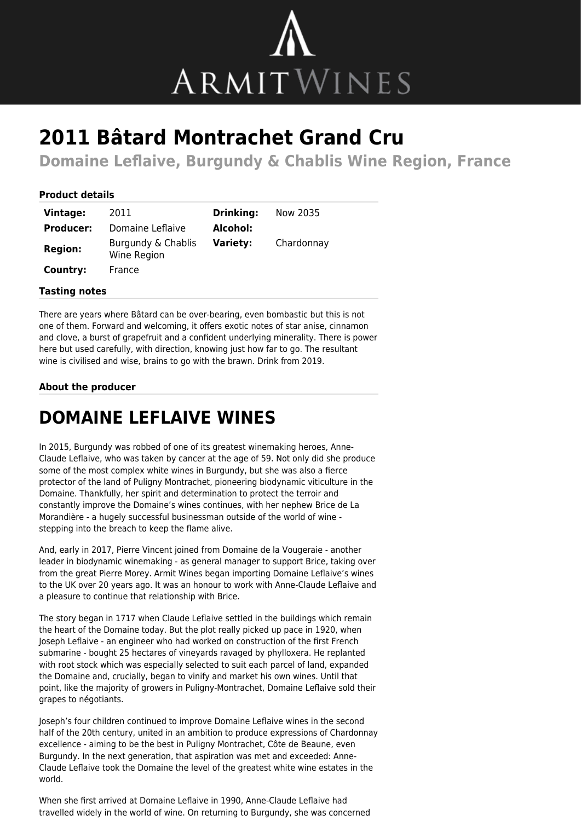

# **2011 Bâtard Montrachet Grand Cru**

**Domaine Leflaive, Burgundy & Chablis Wine Region, France**

### **Product details**

| Vintage:         | 2011                              | <b>Drinking:</b> | Now 2035   |
|------------------|-----------------------------------|------------------|------------|
| <b>Producer:</b> | Domaine Leflaive                  | Alcohol:         |            |
| <b>Region:</b>   | Burgundy & Chablis<br>Wine Region | <b>Variety:</b>  | Chardonnay |
| Country:         | France                            |                  |            |

#### **Tasting notes**

There are years where Bâtard can be over-bearing, even bombastic but this is not one of them. Forward and welcoming, it offers exotic notes of star anise, cinnamon and clove, a burst of grapefruit and a confident underlying minerality. There is power here but used carefully, with direction, knowing just how far to go. The resultant wine is civilised and wise, brains to go with the brawn. Drink from 2019.

## **About the producer**

# **DOMAINE LEFLAIVE WINES**

In 2015, Burgundy was robbed of one of its greatest winemaking heroes, Anne-Claude Leflaive, who was taken by cancer at the age of 59. Not only did she produce some of the most complex white wines in Burgundy, but she was also a fierce protector of the land of Puligny Montrachet, pioneering biodynamic viticulture in the Domaine. Thankfully, her spirit and determination to protect the terroir and constantly improve the Domaine's wines continues, with her nephew Brice de La Morandière - a hugely successful businessman outside of the world of wine stepping into the breach to keep the flame alive.

And, early in 2017, Pierre Vincent joined from Domaine de la Vougeraie - another leader in biodynamic winemaking - as general manager to support Brice, taking over from the great Pierre Morey. Armit Wines began importing Domaine Leflaive's wines to the UK over 20 years ago. It was an honour to work with Anne-Claude Leflaive and a pleasure to continue that relationship with Brice.

The story began in 1717 when Claude Leflaive settled in the buildings which remain the heart of the Domaine today. But the plot really picked up pace in 1920, when Joseph Leflaive - an engineer who had worked on construction of the first French submarine - bought 25 hectares of vineyards ravaged by phylloxera. He replanted with root stock which was especially selected to suit each parcel of land, expanded the Domaine and, crucially, began to vinify and market his own wines. Until that point, like the majority of growers in Puligny-Montrachet, Domaine Leflaive sold their grapes to négotiants.

Joseph's four children continued to improve Domaine Leflaive wines in the second half of the 20th century, united in an ambition to produce expressions of Chardonnay excellence - aiming to be the best in Puligny Montrachet, Côte de Beaune, even Burgundy. In the next generation, that aspiration was met and exceeded: Anne-Claude Leflaive took the Domaine the level of the greatest white wine estates in the world.

When she first arrived at Domaine Leflaive in 1990, Anne-Claude Leflaive had travelled widely in the world of wine. On returning to Burgundy, she was concerned